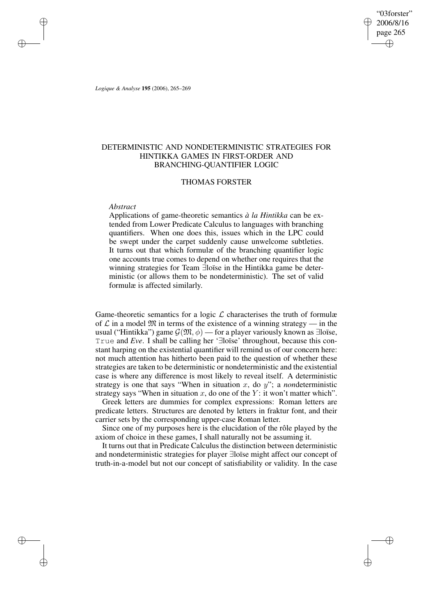"03forster" 2006/8/16 page 265 ✐ ✐

✐

✐

*Logique & Analyse* **195** (2006), 265–269

✐

✐

✐

✐

# DETERMINISTIC AND NONDETERMINISTIC STRATEGIES FOR HINTIKKA GAMES IN FIRST-ORDER AND BRANCHING-QUANTIFIER LOGIC

## THOMAS FORSTER

## *Abstract*

Applications of game-theoretic semantics *à la Hintikka* can be extended from Lower Predicate Calculus to languages with branching quantifiers. When one does this, issues which in the LPC could be swept under the carpet suddenly cause unwelcome subtleties. It turns out that which formulæ of the branching quantifier logic one accounts true comes to depend on whether one requires that the winning strategies for Team ∃loïse in the Hintikka game be deterministic (or allows them to be nondeterministic). The set of valid formulæ is affected similarly.

Game-theoretic semantics for a logic  $\mathcal L$  characterises the truth of formulæ of  $\mathcal L$  in a model  $\mathfrak M$  in terms of the existence of a winning strategy — in the usual ("Hintikka") game  $\mathcal{G}(\mathfrak{M}, \phi)$  — for a player variously known as ∃loïse, True and *Eve*. I shall be calling her '∃loïse' throughout, because this constant harping on the existential quantifier will remind us of our concern here: not much attention has hitherto been paid to the question of whether these strategies are taken to be deterministic or nondeterministic and the existential case is where any difference is most likely to reveal itself. A deterministic strategy is one that says "When in situation  $x$ , do  $y$ "; a *non*deterministic strategy says "When in situation x, do one of the Y: it won't matter which".

Greek letters are dummies for complex expressions: Roman letters are predicate letters. Structures are denoted by letters in fraktur font, and their carrier sets by the corresponding upper-case Roman letter.

Since one of my purposes here is the elucidation of the rôle played by the axiom of choice in these games, I shall naturally not be assuming it.

It turns out that in Predicate Calculus the distinction between deterministic and nondeterministic strategies for player ∃loïse might affect our concept of truth-in-a-model but not our concept of satisfiability or validity. In the case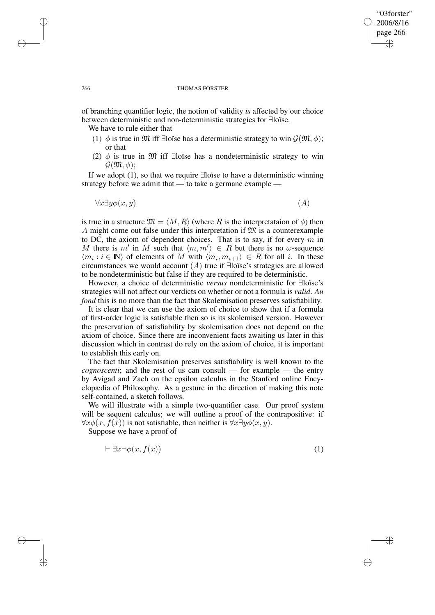## "03forster" 2006/8/16 page 266 ✐ ✐

✐

✐

#### 266 THOMAS FORSTER

of branching quantifier logic, the notion of validity *is* affected by our choice between deterministic and non-deterministic strategies for ∃loïse.

We have to rule either that

- (1)  $\phi$  is true in M iff ∃loïse has a deterministic strategy to win  $\mathcal{G}(\mathfrak{M}, \phi)$ ; or that
- (2)  $\phi$  is true in M iff ∃loïse has a nondeterministic strategy to win  $\mathcal{G}(\mathfrak{M}, \phi)$ ;

If we adopt (1), so that we require ∃loïse to have a deterministic winning strategy before we admit that — to take a germane example —

$$
\forall x \exists y \phi(x, y) \tag{A}
$$

is true in a structure  $\mathfrak{M} = \langle M, R \rangle$  (where R is the interpretataion of  $\phi$ ) then A might come out false under this interpretation if  $\mathfrak{M}$  is a counterexample to DC, the axiom of dependent choices. That is to say, if for every  $m$  in M there is m' in M such that  $\langle m, m' \rangle \in R$  but there is no  $\omega$ -sequence  $\langle m_i : i \in \mathbb{N} \rangle$  of elements of M with  $\langle m_i, m_{i+1} \rangle \in R$  for all i. In these circumstances we would account  $(A)$  true if ∃loïse's strategies are allowed to be nondeterministic but false if they are required to be deterministic.

However, a choice of deterministic *versus* nondeterministic for ∃loïse's strategies will not affect our verdicts on whether or not a formula is *valid*. *Au fond* this is no more than the fact that Skolemisation preserves satisfiability.

It is clear that we can use the axiom of choice to show that if a formula of first-order logic is satisfiable then so is its skolemised version. However the preservation of satisfiability by skolemisation does not depend on the axiom of choice. Since there are inconvenient facts awaiting us later in this discussion which in contrast do rely on the axiom of choice, it is important to establish this early on.

The fact that Skolemisation preserves satisfiability is well known to the *cognoscenti*; and the rest of us can consult — for example — the entry by Avigad and Zach on the epsilon calculus in the Stanford online Encyclopædia of Philosophy. As a gesture in the direction of making this note self-contained, a sketch follows.

We will illustrate with a simple two-quantifier case. Our proof system will be sequent calculus; we will outline a proof of the contrapositive: if  $\forall x \phi(x, f(x))$  is not satisfiable, then neither is  $\forall x \exists y \phi(x, y)$ .

Suppose we have a proof of

$$
\vdash \exists x \neg \phi(x, f(x)) \tag{1}
$$

✐

✐

✐

✐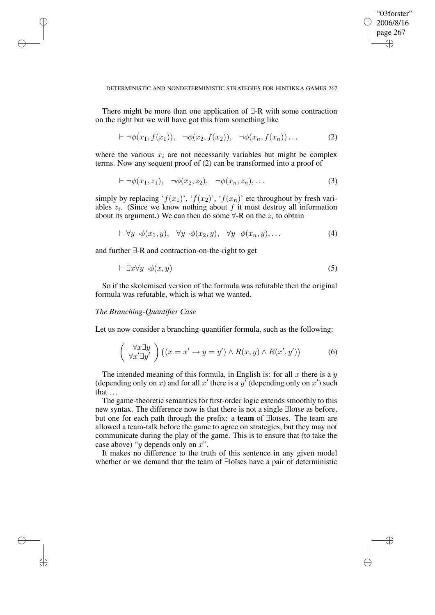✐

✐

### DETERMINISTIC AND NONDETERMINISTIC STRATEGIES FOR HINTIKKA GAMES 267

There might be more than one application of ∃-R with some contraction on the right but we will have got this from something like

$$
\vdash \neg \phi(x_1, f(x_1)), \neg \phi(x_2, f(x_2)), \neg \phi(x_n, f(x_n))\dots \qquad (2)
$$

where the various  $x_i$  are not necessarily variables but might be complex terms. Now any sequent proof of (2) can be transformed into a proof of

$$
\vdash \neg \phi(x_1, z_1), \neg \phi(x_2, z_2), \neg \phi(x_n, z_n), \dots \tag{3}
$$

simply by replacing ' $f(x_1)$ ', ' $f(x_2)$ ', ' $f(x_n)$ ' etc throughout by fresh variables  $z_i$ . (Since we know nothing about f it must destroy all information about its argument.) We can then do some  $\forall$ -R on the  $z_i$  to obtain

$$
\vdash \forall y \neg \phi(x_1, y), \quad \forall y \neg \phi(x_2, y), \quad \forall y \neg \phi(x_n, y), \dots \tag{4}
$$

and further ∃-R and contraction-on-the-right to get

$$
\vdash \exists x \forall y \neg \phi(x, y) \tag{5}
$$

So if the skolemised version of the formula was refutable then the original formula was refutable, which is what we wanted.

# *The Branching-Quantifier Case*

✐

✐

✐

✐

Let us now consider a branching-quantifier formula, such as the following:

$$
\begin{pmatrix} \forall x \exists y \\ \forall x' \exists y' \end{pmatrix} \left( (x = x' \to y = y') \land R(x, y) \land R(x', y') \right) \tag{6}
$$

The intended meaning of this formula, in English is: for all  $x$  there is a  $y$ (depending only on x) and for all x' there is a y' (depending only on x') such that . . .

The game-theoretic semantics for first-order logic extends smoothly to this new syntax. The difference now is that there is not a single ∃loïse as before, but one for each path through the prefix: a **team** of ∃loïses. The team are allowed a team-talk before the game to agree on strategies, but they may not communicate during the play of the game. This is to ensure that (to take the case above) " $y$  depends only on  $x$ ".

It makes no difference to the truth of this sentence in any given model whether or we demand that the team of ∃loïses have a pair of deterministic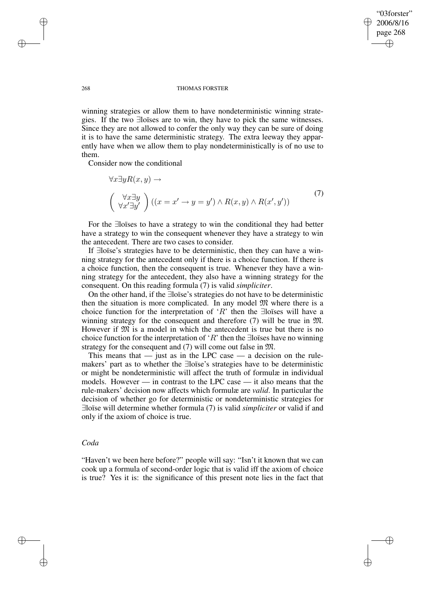✐

✐

### 268 THOMAS FORSTER

winning strategies or allow them to have nondeterministic winning strategies. If the two ∃loïses are to win, they have to pick the same witnesses. Since they are not allowed to confer the only way they can be sure of doing it is to have the same deterministic strategy. The extra leeway they apparently have when we allow them to play nondeterministically is of no use to them.

Consider now the conditional

$$
\forall x \exists y R(x, y) \rightarrow
$$
  

$$
\begin{pmatrix} \forall x \exists y \\ \forall x' \exists y' \end{pmatrix} ((x = x' \rightarrow y = y') \land R(x, y) \land R(x', y'))
$$
 (7)

For the ∃loïses to have a strategy to win the conditional they had better have a strategy to win the consequent whenever they have a strategy to win the antecedent. There are two cases to consider.

If ∃loïse's strategies have to be deterministic, then they can have a winning strategy for the antecedent only if there is a choice function. If there is a choice function, then the consequent is true. Whenever they have a winning strategy for the antecedent, they also have a winning strategy for the consequent. On this reading formula (7) is valid *simpliciter*.

On the other hand, if the ∃loïse's strategies do not have to be deterministic then the situation is more complicated. In any model  $\mathfrak{M}$  where there is a choice function for the interpretation of 'R' then the ∃loïses will have a winning strategy for the consequent and therefore (7) will be true in M. However if  $\mathfrak{M}$  is a model in which the antecedent is true but there is no choice function for the interpretation of 'R' then the ∃loïses have no winning strategy for the consequent and (7) will come out false in M.

This means that  $-$  just as in the LPC case  $-$  a decision on the rulemakers' part as to whether the ∃loïse's strategies have to be deterministic or might be nondeterministic will affect the truth of formulæ in individual models. However — in contrast to the LPC case — it also means that the rule-makers' decision now affects which formulæ are *valid*. In particular the decision of whether go for deterministic or nondeterministic strategies for ∃loïse will determine whether formula (7) is valid *simpliciter* or valid if and only if the axiom of choice is true.

## *Coda*

✐

✐

"Haven't we been here before?" people will say: "Isn't it known that we can cook up a formula of second-order logic that is valid iff the axiom of choice is true? Yes it is: the significance of this present note lies in the fact that

✐

✐